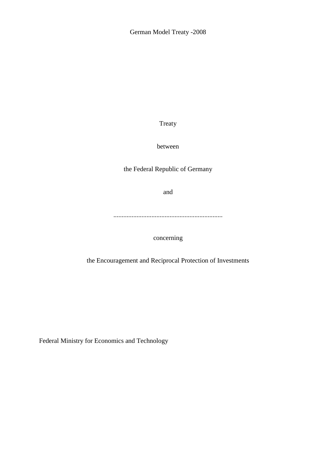Treaty

between

the Federal Republic of Germany

and

..................................................................

concerning

the Encouragement and Reciprocal Protection of Investments

Federal Ministry for Economics and Technology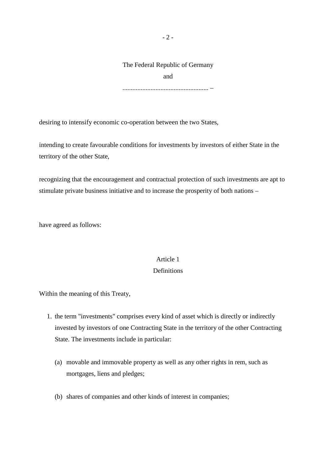# The Federal Republic of Germany and

.................................................... –

desiring to intensify economic co-operation between the two States,

intending to create favourable conditions for investments by investors of either State in the territory of the other State,

recognizing that the encouragement and contractual protection of such investments are apt to stimulate private business initiative and to increase the prosperity of both nations –

have agreed as follows:

# Article 1

# **Definitions**

Within the meaning of this Treaty,

- 1. the term "investments" comprises every kind of asset which is directly or indirectly invested by investors of one Contracting State in the territory of the other Contracting State. The investments include in particular:
	- (a) movable and immovable property as well as any other rights in rem, such as mortgages, liens and pledges;
	- (b) shares of companies and other kinds of interest in companies;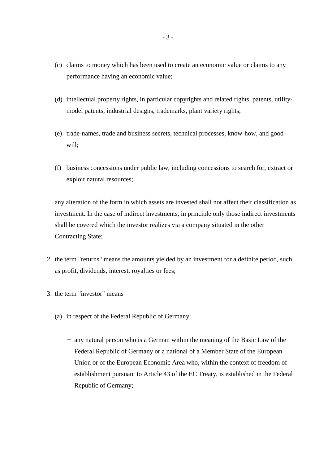- (c) claims to money which has been used to create an economic value or claims to any performance having an economic value;
- (d) intellectual property rights, in particular copyrights and related rights, patents, utilitymodel patents, industrial designs, trademarks, plant variety rights;
- (e) trade-names, trade and business secrets, technical processes, know-how, and goodwill;
- (f) business concessions under public law, including concessions to search for, extract or exploit natural resources;

any alteration of the form in which assets are invested shall not affect their classification as investment. In the case of indirect investments, in principle only those indirect investments shall be covered which the investor realizes via a company situated in the other Contracting State;

- 2. the term "returns" means the amounts yielded by an investment for a definite period, such as profit, dividends, interest, royalties or fees;
- 3. the term "investor" means
	- (a) in respect of the Federal Republic of Germany:
		- − any natural person who is a German within the meaning of the Basic Law of the Federal Republic of Germany or a national of a Member State of the European Union or of the European Economic Area who, within the context of freedom of establishment pursuant to Article 43 of the EC Treaty, is established in the Federal Republic of Germany;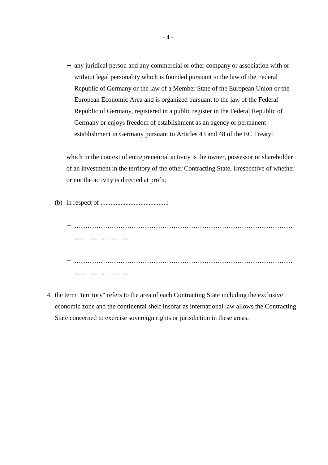− any juridical person and any commercial or other company or association with or without legal personality which is founded pursuant to the law of the Federal Republic of Germany or the law of a Member State of the European Union or the European Economic Area and is organized pursuant to the law of the Federal Republic of Germany, registered in a public register in the Federal Republic of Germany or enjoys freedom of establishment as an agency or permanent establishment in Germany pursuant to Articles 43 and 48 of the EC Treaty;

which in the context of entrepreneurial activity is the owner, possessor or shareholder of an investment in the territory of the other Contracting State, irrespective of whether or not the activity is directed at profit;

- (b) in respect of ........................................: − ……………………………………………………………………………………… ……………………… − ……………………………………………………………………………………… ………………………
- 4. the term "territory" refers to the area of each Contracting State including the exclusive economic zone and the continental shelf insofar as international law allows the Contracting State concerned to exercise sovereign rights or jurisdiction in these areas.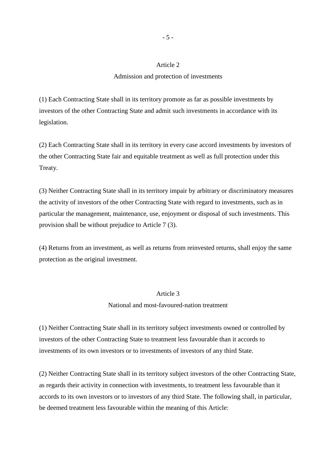#### Article 2

#### Admission and protection of investments

(1) Each Contracting State shall in its territory promote as far as possible investments by investors of the other Contracting State and admit such investments in accordance with its legislation.

(2) Each Contracting State shall in its territory in every case accord investments by investors of the other Contracting State fair and equitable treatment as well as full protection under this Treaty.

(3) Neither Contracting State shall in its territory impair by arbitrary or discriminatory measures the activity of investors of the other Contracting State with regard to investments, such as in particular the management, maintenance, use, enjoyment or disposal of such investments. This provision shall be without prejudice to Article 7 (3).

(4) Returns from an investment, as well as returns from reinvested returns, shall enjoy the same protection as the original investment.

### Article 3

National and most-favoured-nation treatment

(1) Neither Contracting State shall in its territory subject investments owned or controlled by investors of the other Contracting State to treatment less favourable than it accords to investments of its own investors or to investments of investors of any third State.

(2) Neither Contracting State shall in its territory subject investors of the other Contracting State, as regards their activity in connection with investments, to treatment less favourable than it accords to its own investors or to investors of any third State. The following shall, in particular, be deemed treatment less favourable within the meaning of this Article: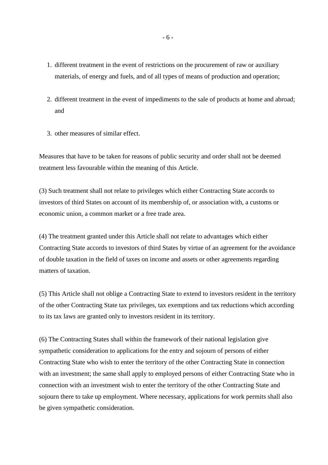- 1. different treatment in the event of restrictions on the procurement of raw or auxiliary materials, of energy and fuels, and of all types of means of production and operation;
- 2. different treatment in the event of impediments to the sale of products at home and abroad; and
- 3. other measures of similar effect.

Measures that have to be taken for reasons of public security and order shall not be deemed treatment less favourable within the meaning of this Article.

(3) Such treatment shall not relate to privileges which either Contracting State accords to investors of third States on account of its membership of, or association with, a customs or economic union, a common market or a free trade area.

(4) The treatment granted under this Article shall not relate to advantages which either Contracting State accords to investors of third States by virtue of an agreement for the avoidance of double taxation in the field of taxes on income and assets or other agreements regarding matters of taxation.

(5) This Article shall not oblige a Contracting State to extend to investors resident in the territory of the other Contracting State tax privileges, tax exemptions and tax reductions which according to its tax laws are granted only to investors resident in its territory.

(6) The Contracting States shall within the framework of their national legislation give sympathetic consideration to applications for the entry and sojourn of persons of either Contracting State who wish to enter the territory of the other Contracting State in connection with an investment; the same shall apply to employed persons of either Contracting State who in connection with an investment wish to enter the territory of the other Contracting State and sojourn there to take up employment. Where necessary, applications for work permits shall also be given sympathetic consideration.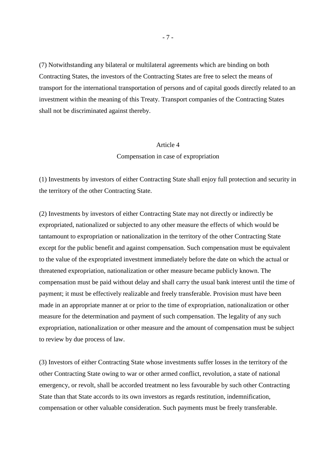(7) Notwithstanding any bilateral or multilateral agreements which are binding on both Contracting States, the investors of the Contracting States are free to select the means of transport for the international transportation of persons and of capital goods directly related to an investment within the meaning of this Treaty. Transport companies of the Contracting States shall not be discriminated against thereby.

# $A$ rticle  $\Lambda$

#### Compensation in case of expropriation

(1) Investments by investors of either Contracting State shall enjoy full protection and security in the territory of the other Contracting State.

(2) Investments by investors of either Contracting State may not directly or indirectly be expropriated, nationalized or subjected to any other measure the effects of which would be tantamount to expropriation or nationalization in the territory of the other Contracting State except for the public benefit and against compensation. Such compensation must be equivalent to the value of the expropriated investment immediately before the date on which the actual or threatened expropriation, nationalization or other measure became publicly known. The compensation must be paid without delay and shall carry the usual bank interest until the time of payment; it must be effectively realizable and freely transferable. Provision must have been made in an appropriate manner at or prior to the time of expropriation, nationalization or other measure for the determination and payment of such compensation. The legality of any such expropriation, nationalization or other measure and the amount of compensation must be subject to review by due process of law.

(3) Investors of either Contracting State whose investments suffer losses in the territory of the other Contracting State owing to war or other armed conflict, revolution, a state of national emergency, or revolt, shall be accorded treatment no less favourable by such other Contracting State than that State accords to its own investors as regards restitution, indemnification, compensation or other valuable consideration. Such payments must be freely transferable.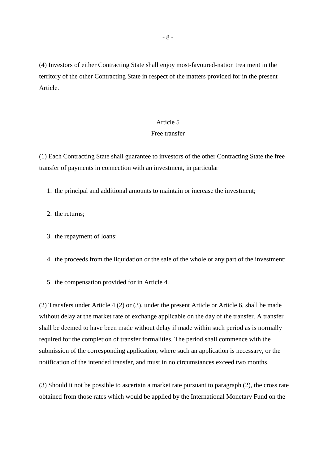(4) Investors of either Contracting State shall enjoy most-favoured-nation treatment in the territory of the other Contracting State in respect of the matters provided for in the present Article.

#### Article 5

#### Free transfer

(1) Each Contracting State shall guarantee to investors of the other Contracting State the free transfer of payments in connection with an investment, in particular

1. the principal and additional amounts to maintain or increase the investment;

2. the returns;

- 3. the repayment of loans;
- 4. the proceeds from the liquidation or the sale of the whole or any part of the investment;
- 5. the compensation provided for in Article 4.

(2) Transfers under Article 4 (2) or (3), under the present Article or Article 6, shall be made without delay at the market rate of exchange applicable on the day of the transfer. A transfer shall be deemed to have been made without delay if made within such period as is normally required for the completion of transfer formalities. The period shall commence with the submission of the corresponding application, where such an application is necessary, or the notification of the intended transfer, and must in no circumstances exceed two months.

(3) Should it not be possible to ascertain a market rate pursuant to paragraph (2), the cross rate obtained from those rates which would be applied by the International Monetary Fund on the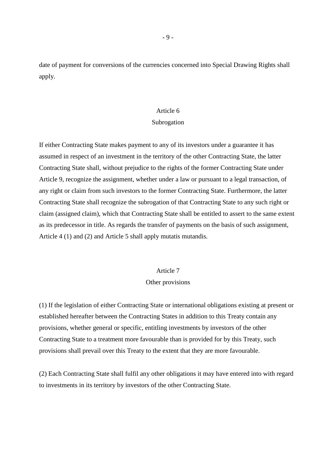date of payment for conversions of the currencies concerned into Special Drawing Rights shall apply.

## Article 6

#### Subrogation

If either Contracting State makes payment to any of its investors under a guarantee it has assumed in respect of an investment in the territory of the other Contracting State, the latter Contracting State shall, without prejudice to the rights of the former Contracting State under Article 9, recognize the assignment, whether under a law or pursuant to a legal transaction, of any right or claim from such investors to the former Contracting State. Furthermore, the latter Contracting State shall recognize the subrogation of that Contracting State to any such right or claim (assigned claim), which that Contracting State shall be entitled to assert to the same extent as its predecessor in title. As regards the transfer of payments on the basis of such assignment, Article 4 (1) and (2) and Article 5 shall apply mutatis mutandis.

### Article 7

#### Other provisions

(1) If the legislation of either Contracting State or international obligations existing at present or established hereafter between the Contracting States in addition to this Treaty contain any provisions, whether general or specific, entitling investments by investors of the other Contracting State to a treatment more favourable than is provided for by this Treaty, such provisions shall prevail over this Treaty to the extent that they are more favourable.

(2) Each Contracting State shall fulfil any other obligations it may have entered into with regard to investments in its territory by investors of the other Contracting State.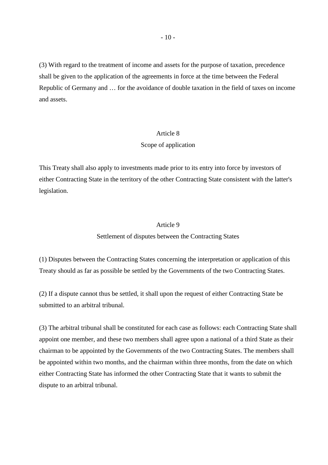(3) With regard to the treatment of income and assets for the purpose of taxation, precedence shall be given to the application of the agreements in force at the time between the Federal Republic of Germany and … for the avoidance of double taxation in the field of taxes on income and assets.

#### Article 8

#### Scope of application

This Treaty shall also apply to investments made prior to its entry into force by investors of either Contracting State in the territory of the other Contracting State consistent with the latter's legislation.

#### Article 9

Settlement of disputes between the Contracting States

(1) Disputes between the Contracting States concerning the interpretation or application of this Treaty should as far as possible be settled by the Governments of the two Contracting States.

(2) If a dispute cannot thus be settled, it shall upon the request of either Contracting State be submitted to an arbitral tribunal.

(3) The arbitral tribunal shall be constituted for each case as follows: each Contracting State shall appoint one member, and these two members shall agree upon a national of a third State as their chairman to be appointed by the Governments of the two Contracting States. The members shall be appointed within two months, and the chairman within three months, from the date on which either Contracting State has informed the other Contracting State that it wants to submit the dispute to an arbitral tribunal.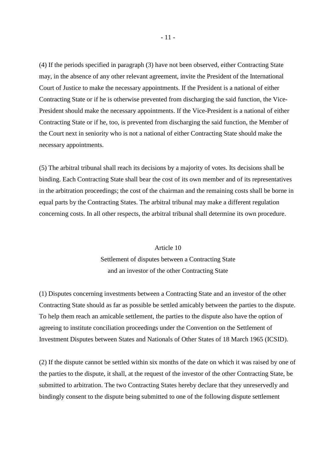(4) If the periods specified in paragraph (3) have not been observed, either Contracting State may, in the absence of any other relevant agreement, invite the President of the International Court of Justice to make the necessary appointments. If the President is a national of either Contracting State or if he is otherwise prevented from discharging the said function, the Vice-President should make the necessary appointments. If the Vice-President is a national of either Contracting State or if he, too, is prevented from discharging the said function, the Member of the Court next in seniority who is not a national of either Contracting State should make the necessary appointments.

(5) The arbitral tribunal shall reach its decisions by a majority of votes. Its decisions shall be binding. Each Contracting State shall bear the cost of its own member and of its representatives in the arbitration proceedings; the cost of the chairman and the remaining costs shall be borne in equal parts by the Contracting States. The arbitral tribunal may make a different regulation concerning costs. In all other respects, the arbitral tribunal shall determine its own procedure.

# Article 10 Settlement of disputes between a Contracting State and an investor of the other Contracting State

(1) Disputes concerning investments between a Contracting State and an investor of the other Contracting State should as far as possible be settled amicably between the parties to the dispute. To help them reach an amicable settlement, the parties to the dispute also have the option of agreeing to institute conciliation proceedings under the Convention on the Settlement of Investment Disputes between States and Nationals of Other States of 18 March 1965 (ICSID).

(2) If the dispute cannot be settled within six months of the date on which it was raised by one of the parties to the dispute, it shall, at the request of the investor of the other Contracting State, be submitted to arbitration. The two Contracting States hereby declare that they unreservedly and bindingly consent to the dispute being submitted to one of the following dispute settlement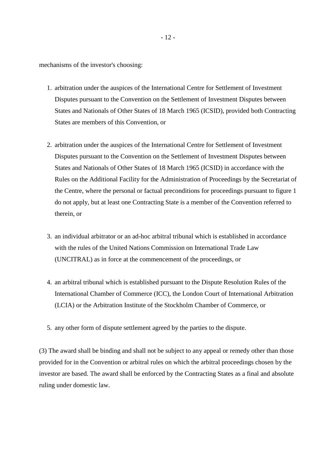mechanisms of the investor's choosing:

- 1. arbitration under the auspices of the International Centre for Settlement of Investment Disputes pursuant to the Convention on the Settlement of Investment Disputes between States and Nationals of Other States of 18 March 1965 (ICSID), provided both Contracting States are members of this Convention, or
- 2. arbitration under the auspices of the International Centre for Settlement of Investment Disputes pursuant to the Convention on the Settlement of Investment Disputes between States and Nationals of Other States of 18 March 1965 (ICSID) in accordance with the Rules on the Additional Facility for the Administration of Proceedings by the Secretariat of the Centre, where the personal or factual preconditions for proceedings pursuant to figure 1 do not apply, but at least one Contracting State is a member of the Convention referred to therein, or
- 3. an individual arbitrator or an ad-hoc arbitral tribunal which is established in accordance with the rules of the United Nations Commission on International Trade Law (UNCITRAL) as in force at the commencement of the proceedings, or
- 4. an arbitral tribunal which is established pursuant to the Dispute Resolution Rules of the International Chamber of Commerce (ICC), the London Court of International Arbitration (LCIA) or the Arbitration Institute of the Stockholm Chamber of Commerce, or
- 5. any other form of dispute settlement agreed by the parties to the dispute.

(3) The award shall be binding and shall not be subject to any appeal or remedy other than those provided for in the Convention or arbitral rules on which the arbitral proceedings chosen by the investor are based. The award shall be enforced by the Contracting States as a final and absolute ruling under domestic law.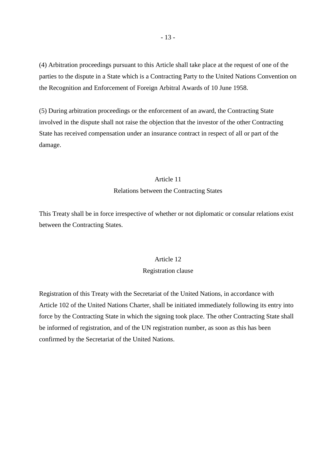(4) Arbitration proceedings pursuant to this Article shall take place at the request of one of the parties to the dispute in a State which is a Contracting Party to the United Nations Convention on the Recognition and Enforcement of Foreign Arbitral Awards of 10 June 1958.

(5) During arbitration proceedings or the enforcement of an award, the Contracting State involved in the dispute shall not raise the objection that the investor of the other Contracting State has received compensation under an insurance contract in respect of all or part of the damage.

#### Article 11

#### Relations between the Contracting States

This Treaty shall be in force irrespective of whether or not diplomatic or consular relations exist between the Contracting States.

#### Article 12

#### Registration clause

Registration of this Treaty with the Secretariat of the United Nations, in accordance with Article 102 of the United Nations Charter, shall be initiated immediately following its entry into force by the Contracting State in which the signing took place. The other Contracting State shall be informed of registration, and of the UN registration number, as soon as this has been confirmed by the Secretariat of the United Nations.